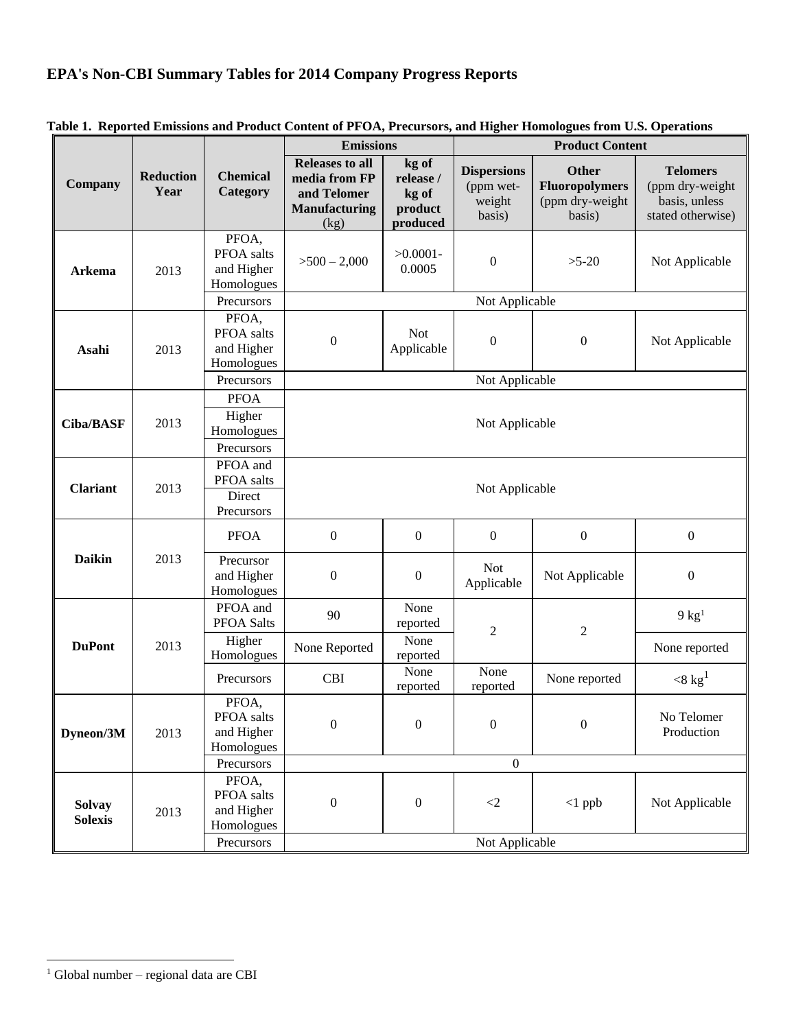## **EPA's Non-CBI Summary Tables for 2014 Company Progress Reports**

|                                 | <b>Reduction</b><br>Year | <b>Chemical</b><br>Category                       | <b>Emissions</b>                                                                       |                                                    | <b>Product Content</b>                              |                                                              |                                                                          |  |  |
|---------------------------------|--------------------------|---------------------------------------------------|----------------------------------------------------------------------------------------|----------------------------------------------------|-----------------------------------------------------|--------------------------------------------------------------|--------------------------------------------------------------------------|--|--|
| Company                         |                          |                                                   | <b>Releases to all</b><br>media from FP<br>and Telomer<br><b>Manufacturing</b><br>(kg) | kg of<br>release /<br>kg of<br>product<br>produced | <b>Dispersions</b><br>(ppm wet-<br>weight<br>basis) | Other<br><b>Fluoropolymers</b><br>(ppm dry-weight<br>basis)  | <b>Telomers</b><br>(ppm dry-weight<br>basis, unless<br>stated otherwise) |  |  |
| <b>Arkema</b>                   | 2013                     | PFOA,<br>PFOA salts<br>and Higher<br>Homologues   | $>500-2,000$                                                                           | $>0.0001-$<br>0.0005                               | $\boldsymbol{0}$                                    | $>5-20$                                                      | Not Applicable                                                           |  |  |
|                                 |                          | Precursors                                        | Not Applicable                                                                         |                                                    |                                                     |                                                              |                                                                          |  |  |
| Asahi                           | 2013                     | PFOA,<br>PFOA salts<br>and Higher<br>Homologues   | $\boldsymbol{0}$                                                                       | <b>Not</b><br>Applicable                           | $\boldsymbol{0}$                                    | $\boldsymbol{0}$                                             | Not Applicable                                                           |  |  |
|                                 |                          | Precursors                                        | Not Applicable                                                                         |                                                    |                                                     |                                                              |                                                                          |  |  |
| <b>Ciba/BASF</b>                | 2013                     | <b>PFOA</b><br>Higher<br>Homologues<br>Precursors | Not Applicable                                                                         |                                                    |                                                     |                                                              |                                                                          |  |  |
| <b>Clariant</b>                 | 2013                     | PFOA and<br>PFOA salts<br>Direct<br>Precursors    | Not Applicable                                                                         |                                                    |                                                     |                                                              |                                                                          |  |  |
| <b>Daikin</b>                   | 2013                     | <b>PFOA</b>                                       | $\boldsymbol{0}$                                                                       | $\boldsymbol{0}$                                   | $\boldsymbol{0}$                                    | $\boldsymbol{0}$                                             | $\boldsymbol{0}$                                                         |  |  |
|                                 |                          | Precursor<br>and Higher<br>Homologues             | $\boldsymbol{0}$                                                                       | $\boldsymbol{0}$                                   | <b>Not</b><br>Applicable                            | Not Applicable                                               | $\boldsymbol{0}$                                                         |  |  |
| <b>DuPont</b>                   | 2013                     | PFOA and<br>PFOA Salts                            | 90                                                                                     | None<br>reported                                   |                                                     |                                                              | $9 \text{ kg}^1$                                                         |  |  |
|                                 |                          | Higher<br>Homologues                              | None Reported                                                                          | None<br>reported                                   | $\overline{2}$                                      | $\mathfrak{2}% =\mathfrak{2}\left( \mathfrak{2}\right) ^{2}$ | None reported                                                            |  |  |
|                                 |                          | Precursors                                        | <b>CBI</b>                                                                             | None<br>reported                                   | None<br>reported                                    | None reported                                                | $<$ 8 kg <sup>1</sup>                                                    |  |  |
| Dyneon/3M                       | 2013                     | PFOA,<br>PFOA salts<br>and Higher<br>Homologues   | $\boldsymbol{0}$                                                                       | $\boldsymbol{0}$                                   | $\boldsymbol{0}$                                    | $\boldsymbol{0}$                                             | No Telomer<br>Production                                                 |  |  |
|                                 |                          | Precursors                                        | $\boldsymbol{0}$                                                                       |                                                    |                                                     |                                                              |                                                                          |  |  |
| <b>Solvay</b><br><b>Solexis</b> | 2013                     | PFOA,<br>PFOA salts<br>and Higher<br>Homologues   | $\boldsymbol{0}$                                                                       | $\boldsymbol{0}$                                   | $<\!\!2$                                            | $<1$ ppb                                                     | Not Applicable                                                           |  |  |
|                                 |                          | Precursors                                        | Not Applicable                                                                         |                                                    |                                                     |                                                              |                                                                          |  |  |

**Table 1. Reported Emissions and Product Content of PFOA, Precursors, and Higher Homologues from U.S. Operations** 

<sup>&</sup>lt;sup>1</sup> Global number – regional data are CBI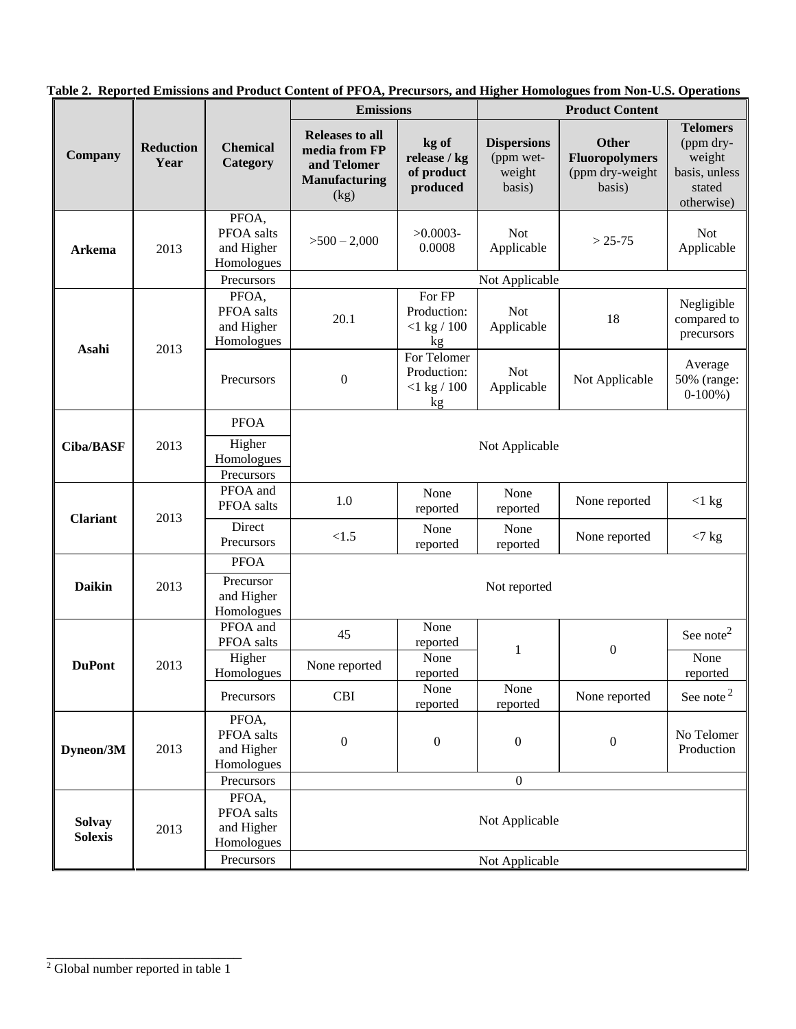|                                 |                          |                                                               | <b>Emissions</b>                                                                       |                                                    | <b>Product Content</b>                              |                                                             |                                                                                 |  |
|---------------------------------|--------------------------|---------------------------------------------------------------|----------------------------------------------------------------------------------------|----------------------------------------------------|-----------------------------------------------------|-------------------------------------------------------------|---------------------------------------------------------------------------------|--|
| Company                         | <b>Reduction</b><br>Year | <b>Chemical</b><br>Category                                   | <b>Releases to all</b><br>media from FP<br>and Telomer<br><b>Manufacturing</b><br>(kg) | kg of<br>release / kg<br>of product<br>produced    | <b>Dispersions</b><br>(ppm wet-<br>weight<br>basis) | Other<br><b>Fluoropolymers</b><br>(ppm dry-weight<br>basis) | <b>Telomers</b><br>(ppm dry-<br>weight<br>basis, unless<br>stated<br>otherwise) |  |
| Arkema                          | 2013                     | PFOA,<br>PFOA salts<br>and Higher<br>Homologues               | $>500-2,000$                                                                           | $>0.0003-$<br>0.0008                               | <b>Not</b><br>Applicable                            | $> 25 - 75$                                                 | <b>Not</b><br>Applicable                                                        |  |
|                                 |                          | Precursors                                                    | Not Applicable                                                                         |                                                    |                                                     |                                                             |                                                                                 |  |
| Asahi                           | 2013                     | PFOA,<br>PFOA salts<br>and Higher<br>Homologues               | 20.1                                                                                   | For FP<br>Production:<br>$<$ 1 kg / 100<br>kg      | <b>Not</b><br>Applicable                            | 18                                                          | Negligible<br>compared to<br>precursors                                         |  |
|                                 |                          | Precursors                                                    | $\boldsymbol{0}$                                                                       | For Telomer<br>Production:<br>$<$ 1 kg / 100<br>kg | <b>Not</b><br>Applicable                            | Not Applicable                                              | Average<br>50% (range:<br>$0-100%$ )                                            |  |
|                                 |                          | <b>PFOA</b>                                                   |                                                                                        |                                                    |                                                     |                                                             |                                                                                 |  |
| <b>Ciba/BASF</b>                | 2013                     | Higher<br>Homologues<br>Precursors                            | Not Applicable                                                                         |                                                    |                                                     |                                                             |                                                                                 |  |
| <b>Clariant</b>                 | 2013                     | PFOA and<br>PFOA salts                                        | 1.0                                                                                    | None<br>reported                                   | None<br>reported                                    | None reported                                               | $<$ 1 kg                                                                        |  |
|                                 |                          | Direct<br>Precursors                                          | < 1.5                                                                                  | None<br>reported                                   | None<br>reported                                    | None reported                                               | $<$ 7 kg                                                                        |  |
| <b>Daikin</b>                   | 2013                     | <b>PFOA</b><br>Precursor<br>and Higher<br>Homologues          | Not reported                                                                           |                                                    |                                                     |                                                             |                                                                                 |  |
| <b>DuPont</b>                   | 2013                     | PFOA and<br>PFOA salts                                        | 45                                                                                     | None<br>reported                                   |                                                     | $\boldsymbol{0}$                                            | See note <sup>2</sup>                                                           |  |
|                                 |                          | Higher<br>Homologues                                          | None reported                                                                          | None<br>reported                                   | 1                                                   |                                                             | None<br>reported                                                                |  |
|                                 |                          | Precursors                                                    | <b>CBI</b>                                                                             | None<br>reported                                   | None<br>reported                                    | None reported                                               | See note $2$                                                                    |  |
| Dyneon/3M                       | 2013                     | PFOA,<br>PFOA salts<br>and Higher<br>Homologues               | $\boldsymbol{0}$                                                                       | $\boldsymbol{0}$                                   | $\boldsymbol{0}$                                    | $\boldsymbol{0}$                                            | No Telomer<br>Production                                                        |  |
|                                 |                          | Precursors                                                    | $\boldsymbol{0}$                                                                       |                                                    |                                                     |                                                             |                                                                                 |  |
| <b>Solvay</b><br><b>Solexis</b> | 2013                     | PFOA,<br>PFOA salts<br>and Higher<br>Homologues<br>Precursors | Not Applicable                                                                         |                                                    |                                                     |                                                             |                                                                                 |  |
|                                 |                          |                                                               |                                                                                        |                                                    | Not Applicable                                      |                                                             |                                                                                 |  |

**Table 2. Reported Emissions and Product Content of PFOA, Precursors, and Higher Homologues from Non-U.S. Operations**

\_\_\_\_\_\_\_\_\_\_\_\_\_\_\_\_\_\_\_\_\_\_\_\_\_ <sup>2</sup> Global number reported in table 1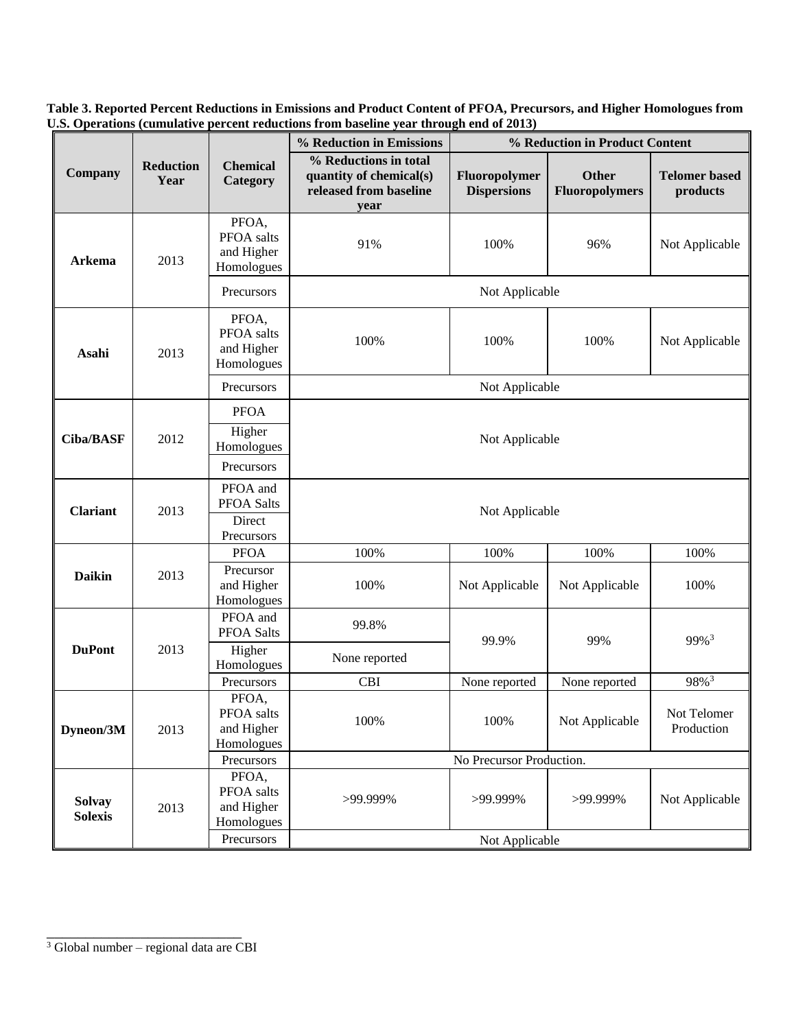**Table 3. Reported Percent Reductions in Emissions and Product Content of PFOA, Precursors, and Higher Homologues from U.S. Operations (cumulative percent reductions from baseline year through end of 2013)**

|                                 |                          |                                                 | % Reduction in Emissions<br>% Reduction in Product Content                         |                                     |                                |                                  |  |  |
|---------------------------------|--------------------------|-------------------------------------------------|------------------------------------------------------------------------------------|-------------------------------------|--------------------------------|----------------------------------|--|--|
| Company                         | <b>Reduction</b><br>Year | <b>Chemical</b><br>Category                     | % Reductions in total<br>quantity of chemical(s)<br>released from baseline<br>year | Fluoropolymer<br><b>Dispersions</b> | Other<br><b>Fluoropolymers</b> | <b>Telomer based</b><br>products |  |  |
| <b>Arkema</b>                   | 2013                     | PFOA,<br>PFOA salts<br>and Higher<br>Homologues | 91%                                                                                | 100%                                | 96%                            | Not Applicable                   |  |  |
|                                 |                          | Precursors                                      | Not Applicable                                                                     |                                     |                                |                                  |  |  |
| Asahi                           | 2013                     | PFOA,<br>PFOA salts<br>and Higher<br>Homologues | 100%                                                                               | 100%                                | 100%                           | Not Applicable                   |  |  |
|                                 |                          | Precursors                                      | Not Applicable                                                                     |                                     |                                |                                  |  |  |
|                                 | 2012                     | <b>PFOA</b>                                     |                                                                                    |                                     |                                |                                  |  |  |
| <b>Ciba/BASF</b>                |                          | Higher<br>Homologues                            | Not Applicable                                                                     |                                     |                                |                                  |  |  |
|                                 |                          | Precursors                                      |                                                                                    |                                     |                                |                                  |  |  |
| <b>Clariant</b>                 | 2013                     | PFOA and<br>PFOA Salts                          | Not Applicable                                                                     |                                     |                                |                                  |  |  |
|                                 |                          | Direct<br>Precursors                            |                                                                                    |                                     |                                |                                  |  |  |
|                                 |                          | <b>PFOA</b>                                     | 100%                                                                               | 100%                                | 100%                           | 100%                             |  |  |
| <b>Daikin</b>                   | 2013                     | Precursor<br>and Higher<br>Homologues           | 100%                                                                               | Not Applicable                      | Not Applicable                 | 100%                             |  |  |
| <b>DuPont</b>                   | 2013                     | PFOA and<br>PFOA Salts                          | 99.8%                                                                              | 99.9%                               | 99%                            | 99% <sup>3</sup>                 |  |  |
|                                 |                          | Higher<br>Homologues                            | None reported                                                                      |                                     |                                |                                  |  |  |
|                                 |                          | Precursors                                      | <b>CBI</b>                                                                         | None reported                       | None reported                  | 98% <sup>3</sup>                 |  |  |
| Dyneon/3M                       | 2013                     | PFOA,<br>PFOA salts<br>and Higher<br>Homologues | 100%                                                                               | 100%                                | Not Applicable                 | Not Telomer<br>Production        |  |  |
|                                 |                          | Precursors                                      | No Precursor Production.                                                           |                                     |                                |                                  |  |  |
| <b>Solvay</b><br><b>Solexis</b> | 2013                     | PFOA,<br>PFOA salts<br>and Higher<br>Homologues | >99.999%                                                                           | >99.999%                            | >99.999%                       | Not Applicable                   |  |  |
|                                 |                          | Precursors                                      | Not Applicable                                                                     |                                     |                                |                                  |  |  |

\_\_\_\_\_\_\_\_\_\_\_\_\_\_\_\_\_\_\_\_\_\_\_\_\_ <sup>3</sup> Global number – regional data are CBI